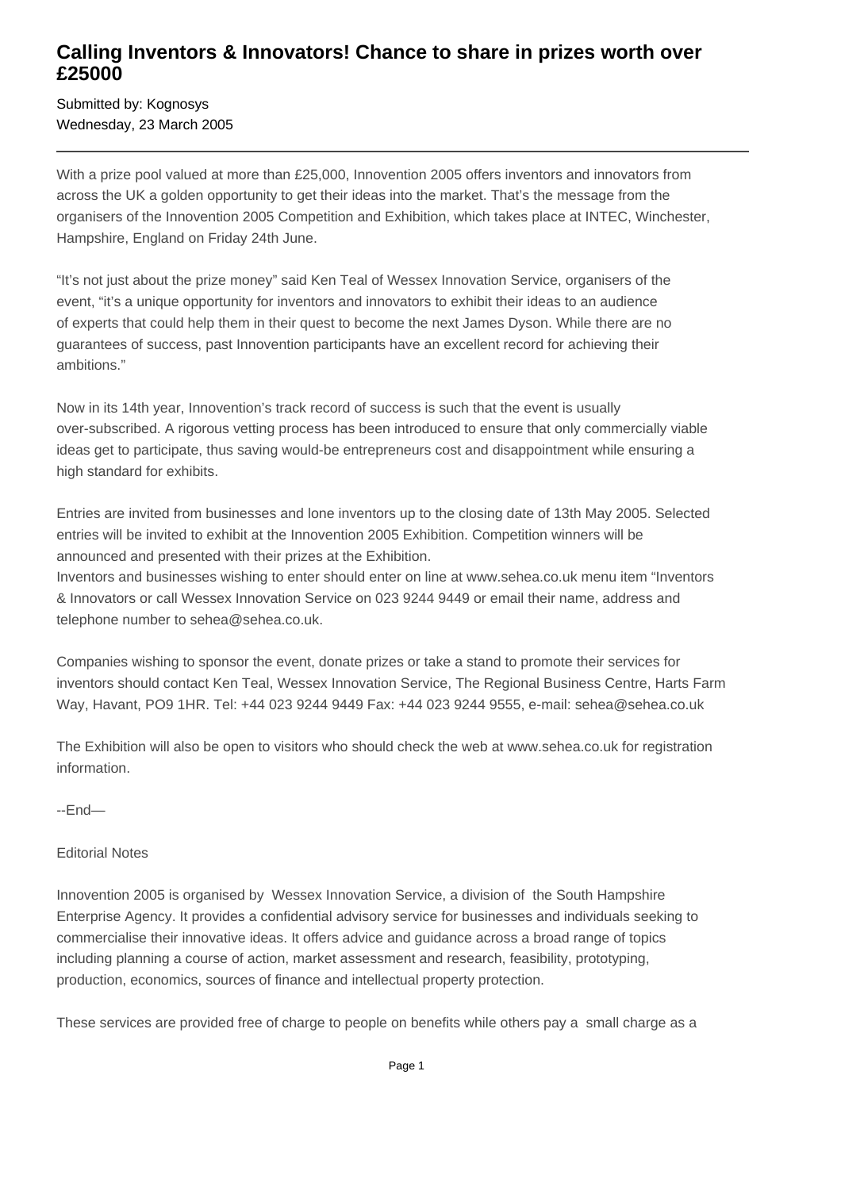## **Calling Inventors & Innovators! Chance to share in prizes worth over £25000**

Submitted by: Kognosys Wednesday, 23 March 2005

With a prize pool valued at more than £25,000, Innovention 2005 offers inventors and innovators from across the UK a golden opportunity to get their ideas into the market. That's the message from the organisers of the Innovention 2005 Competition and Exhibition, which takes place at INTEC, Winchester, Hampshire, England on Friday 24th June.

"It's not just about the prize money" said Ken Teal of Wessex Innovation Service, organisers of the event, "it's a unique opportunity for inventors and innovators to exhibit their ideas to an audience of experts that could help them in their quest to become the next James Dyson. While there are no guarantees of success, past Innovention participants have an excellent record for achieving their ambitions."

Now in its 14th year, Innovention's track record of success is such that the event is usually over-subscribed. A rigorous vetting process has been introduced to ensure that only commercially viable ideas get to participate, thus saving would-be entrepreneurs cost and disappointment while ensuring a high standard for exhibits.

Entries are invited from businesses and lone inventors up to the closing date of 13th May 2005. Selected entries will be invited to exhibit at the Innovention 2005 Exhibition. Competition winners will be announced and presented with their prizes at the Exhibition.

Inventors and businesses wishing to enter should enter on line at www.sehea.co.uk menu item "Inventors & Innovators or call Wessex Innovation Service on 023 9244 9449 or email their name, address and telephone number to sehea@sehea.co.uk.

Companies wishing to sponsor the event, donate prizes or take a stand to promote their services for inventors should contact Ken Teal, Wessex Innovation Service, The Regional Business Centre, Harts Farm Way, Havant, PO9 1HR. Tel: +44 023 9244 9449 Fax: +44 023 9244 9555, e-mail: sehea@sehea.co.uk

The Exhibition will also be open to visitors who should check the web at www.sehea.co.uk for registration information.

--End—

## Editorial Notes

Innovention 2005 is organised by Wessex Innovation Service, a division of the South Hampshire Enterprise Agency. It provides a confidential advisory service for businesses and individuals seeking to commercialise their innovative ideas. It offers advice and guidance across a broad range of topics including planning a course of action, market assessment and research, feasibility, prototyping, production, economics, sources of finance and intellectual property protection.

These services are provided free of charge to people on benefits while others pay a small charge as a